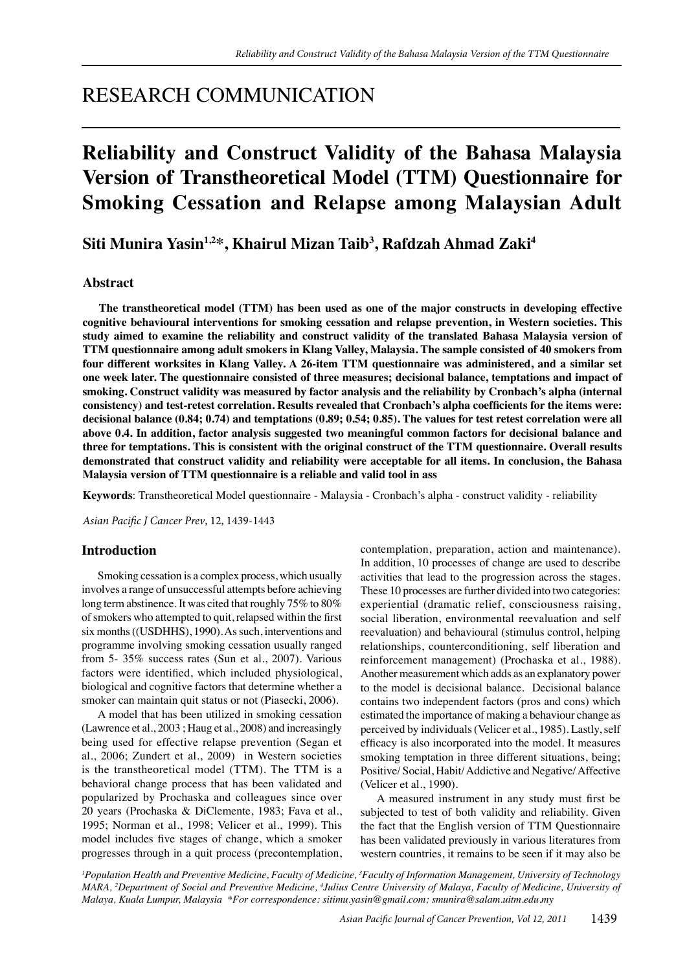## RESEARCH COMMUNICATION

# **Reliability and Construct Validity of the Bahasa Malaysia Version of Transtheoretical Model (TTM) Questionnaire for Smoking Cessation and Relapse among Malaysian Adult**

## **Siti Munira Yasin1,2\*, Khairul Mizan Taib3 , Rafdzah Ahmad Zaki4**

## **Abstract**

**The transtheoretical model (TTM) has been used as one of the major constructs in developing effective cognitive behavioural interventions for smoking cessation and relapse prevention, in Western societies. This study aimed to examine the reliability and construct validity of the translated Bahasa Malaysia version of TTM questionnaire among adult smokers in Klang Valley, Malaysia. The sample consisted of 40 smokers from four different worksites in Klang Valley. A 26-item TTM questionnaire was administered, and a similar set one week later. The questionnaire consisted of three measures; decisional balance, temptations and impact of smoking. Construct validity was measured by factor analysis and the reliability by Cronbach's alpha (internal consistency) and test-retest correlation. Results revealed that Cronbach's alpha coefficients for the items were: decisional balance (0.84; 0.74) and temptations (0.89; 0.54; 0.85). The values for test retest correlation were all above 0.4. In addition, factor analysis suggested two meaningful common factors for decisional balance and three for temptations. This is consistent with the original construct of the TTM questionnaire. Overall results demonstrated that construct validity and reliability were acceptable for all items. In conclusion, the Bahasa Malaysia version of TTM questionnaire is a reliable and valid tool in ass**

**Keywords**: Transtheoretical Model questionnaire - Malaysia - Cronbach's alpha - construct validity - reliability

*Asian Pacific J Cancer Prev*, 12, 1439-1443

## **Introduction**

Smoking cessation is a complex process, which usually involves a range of unsuccessful attempts before achieving long term abstinence. It was cited that roughly 75% to 80% of smokers who attempted to quit, relapsed within the first six months ((USDHHS), 1990). As such, interventions and programme involving smoking cessation usually ranged from 5- 35% success rates (Sun et al., 2007). Various factors were identified, which included physiological, biological and cognitive factors that determine whether a smoker can maintain quit status or not (Piasecki, 2006).

A model that has been utilized in smoking cessation (Lawrence et al., 2003 ; Haug et al., 2008) and increasingly being used for effective relapse prevention (Segan et al., 2006; Zundert et al., 2009) in Western societies is the transtheoretical model (TTM). The TTM is a behavioral change process that has been validated and popularized by Prochaska and colleagues since over 20 years (Prochaska & DiClemente, 1983; Fava et al., 1995; Norman et al., 1998; Velicer et al., 1999). This model includes five stages of change, which a smoker progresses through in a quit process (precontemplation, contemplation, preparation, action and maintenance). In addition, 10 processes of change are used to describe activities that lead to the progression across the stages. These 10 processes are further divided into two categories: experiential (dramatic relief, consciousness raising, social liberation, environmental reevaluation and self reevaluation) and behavioural (stimulus control, helping relationships, counterconditioning, self liberation and reinforcement management) (Prochaska et al., 1988). Another measurement which adds as an explanatory power to the model is decisional balance. Decisional balance contains two independent factors (pros and cons) which estimated the importance of making a behaviour change as perceived by individuals (Velicer et al., 1985). Lastly, self efficacy is also incorporated into the model. It measures smoking temptation in three different situations, being; Positive/ Social, Habit/ Addictive and Negative/ Affective (Velicer et al., 1990).

A measured instrument in any study must first be subjected to test of both validity and reliability. Given the fact that the English version of TTM Questionnaire has been validated previously in various literatures from western countries, it remains to be seen if it may also be

*1 Population Health and Preventive Medicine, Faculty of Medicine, 3 Faculty of Information Management, University of Technology MARA, 2 Department of Social and Preventive Medicine, 4 Julius Centre University of Malaya, Faculty of Medicine, University of Malaya, Kuala Lumpur, Malaysia \*For correspondence: sitimu.yasin@gmail.com; smunira@salam.uitm.edu.my*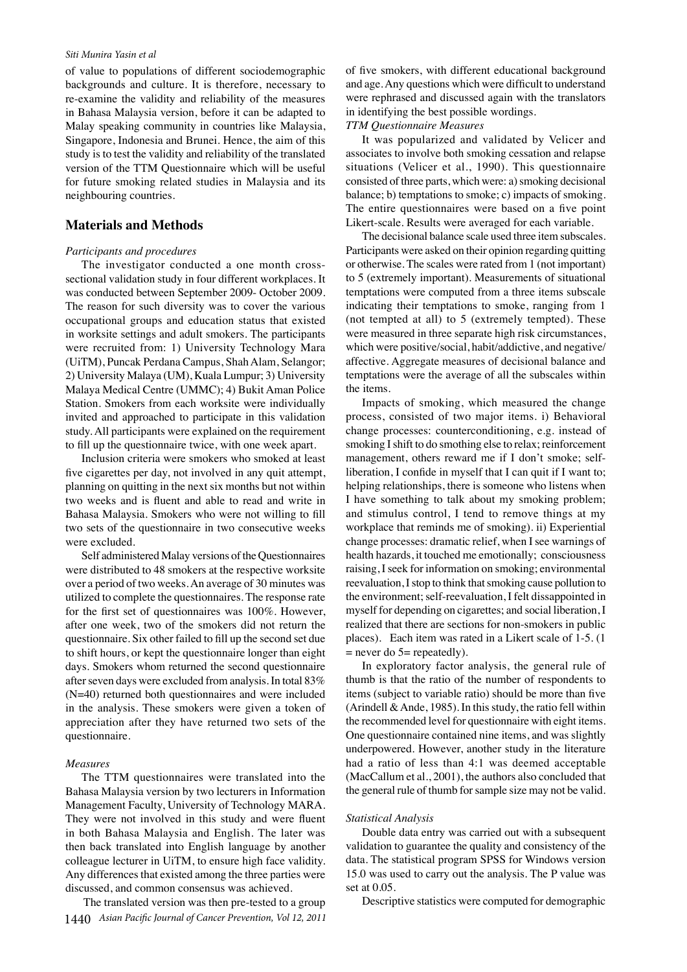#### *Siti Munira Yasin et al*

of value to populations of different sociodemographic backgrounds and culture. It is therefore, necessary to re-examine the validity and reliability of the measures in Bahasa Malaysia version, before it can be adapted to Malay speaking community in countries like Malaysia, Singapore, Indonesia and Brunei. Hence, the aim of this study is to test the validity and reliability of the translated version of the TTM Questionnaire which will be useful for future smoking related studies in Malaysia and its neighbouring countries.

## **Materials and Methods**

#### *Participants and procedures*

The investigator conducted a one month crosssectional validation study in four different workplaces. It was conducted between September 2009- October 2009. The reason for such diversity was to cover the various occupational groups and education status that existed in worksite settings and adult smokers. The participants were recruited from: 1) University Technology Mara (UiTM), Puncak Perdana Campus, Shah Alam, Selangor; 2) University Malaya (UM), Kuala Lumpur; 3) University Malaya Medical Centre (UMMC); 4) Bukit Aman Police Station. Smokers from each worksite were individually invited and approached to participate in this validation study. All participants were explained on the requirement to fill up the questionnaire twice, with one week apart.

Inclusion criteria were smokers who smoked at least five cigarettes per day, not involved in any quit attempt, planning on quitting in the next six months but not within two weeks and is fluent and able to read and write in Bahasa Malaysia. Smokers who were not willing to fill two sets of the questionnaire in two consecutive weeks were excluded.

Self administered Malay versions of the Questionnaires were distributed to 48 smokers at the respective worksite over a period of two weeks. An average of 30 minutes was utilized to complete the questionnaires. The response rate for the first set of questionnaires was 100%. However, after one week, two of the smokers did not return the questionnaire. Six other failed to fill up the second set due to shift hours, or kept the questionnaire longer than eight days. Smokers whom returned the second questionnaire after seven days were excluded from analysis. In total 83% (N=40) returned both questionnaires and were included in the analysis. These smokers were given a token of appreciation after they have returned two sets of the questionnaire.

#### *Measures*

The TTM questionnaires were translated into the Bahasa Malaysia version by two lecturers in Information Management Faculty, University of Technology MARA. They were not involved in this study and were fluent in both Bahasa Malaysia and English. The later was then back translated into English language by another colleague lecturer in UiTM, to ensure high face validity. Any differences that existed among the three parties were discussed, and common consensus was achieved.

1440 *Asian Pacific Journal of Cancer Prevention, Vol 12, 2011* The translated version was then pre-tested to a group of five smokers, with different educational background and age. Any questions which were difficult to understand were rephrased and discussed again with the translators in identifying the best possible wordings.

#### *TTM Questionnaire Measures*

It was popularized and validated by Velicer and associates to involve both smoking cessation and relapse situations (Velicer et al., 1990). This questionnaire consisted of three parts, which were: a) smoking decisional balance; b) temptations to smoke; c) impacts of smoking. The entire questionnaires were based on a five point Likert-scale. Results were averaged for each variable.

The decisional balance scale used three item subscales. Participants were asked on their opinion regarding quitting or otherwise. The scales were rated from 1 (not important) to 5 (extremely important). Measurements of situational temptations were computed from a three items subscale indicating their temptations to smoke, ranging from 1 (not tempted at all) to 5 (extremely tempted). These were measured in three separate high risk circumstances, which were positive/social, habit/addictive, and negative/ affective. Aggregate measures of decisional balance and temptations were the average of all the subscales within the items.

Impacts of smoking, which measured the change process, consisted of two major items. i) Behavioral change processes: counterconditioning, e.g. instead of smoking I shift to do smothing else to relax; reinforcement management, others reward me if I don't smoke; selfliberation, I confide in myself that I can quit if I want to; helping relationships, there is someone who listens when I have something to talk about my smoking problem; and stimulus control, I tend to remove things at my workplace that reminds me of smoking). ii) Experiential change processes: dramatic relief, when I see warnings of health hazards, it touched me emotionally; consciousness raising, I seek for information on smoking; environmental reevaluation, I stop to think that smoking cause pollution to the environment; self-reevaluation, I felt dissappointed in myself for depending on cigarettes; and social liberation, I realized that there are sections for non-smokers in public places). Each item was rated in a Likert scale of 1-5. (1  $=$  never do 5 $=$  repeatedly).

In exploratory factor analysis, the general rule of thumb is that the ratio of the number of respondents to items (subject to variable ratio) should be more than five (Arindell  $\&$  Ande, 1985). In this study, the ratio fell within the recommended level for questionnaire with eight items. One questionnaire contained nine items, and was slightly underpowered. However, another study in the literature had a ratio of less than 4:1 was deemed acceptable (MacCallum et al., 2001), the authors also concluded that the general rule of thumb for sample size may not be valid.

#### *Statistical Analysis*

Double data entry was carried out with a subsequent validation to guarantee the quality and consistency of the data. The statistical program SPSS for Windows version 15.0 was used to carry out the analysis. The P value was set at 0.05.

Descriptive statistics were computed for demographic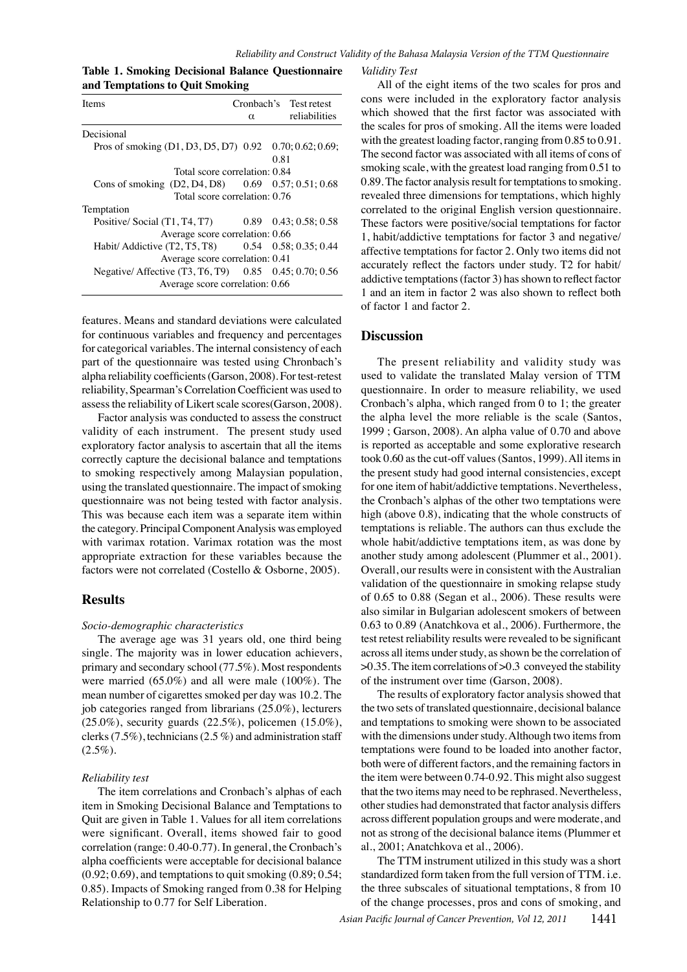*Reliability and Construct Validity of the Bahasa Malaysia Version of the TTM Questionnaire* 

|                                 | <b>Table 1. Smoking Decisional Balance Questionnaire</b> |  |
|---------------------------------|----------------------------------------------------------|--|
| and Temptations to Quit Smoking |                                                          |  |

| Items                                                   |          | Cronbach's Test retest |  |
|---------------------------------------------------------|----------|------------------------|--|
|                                                         | $\alpha$ | reliabilities          |  |
| Decisional                                              |          |                        |  |
| Pros of smoking (D1, D3, D5, D7) 0.92 0.70; 0.62; 0.69; |          |                        |  |
|                                                         |          | 0.81                   |  |
| Total score correlation: 0.84                           |          |                        |  |
| Cons of smoking (D2, D4, D8) 0.69 0.57; 0.51; 0.68      |          |                        |  |
| Total score correlation: 0.76                           |          |                        |  |
| Temptation                                              |          | 10                     |  |
| Positive/Social (T1, T4, T7) 0.89 0.43; 0.58; 0.58      |          |                        |  |
| Average score correlation: 0.66                         |          |                        |  |
| Habit/ Addictive (T2, T5, T8) 0.54 0.58; 0.35; 0.44     |          |                        |  |
| Average score correlation: 0.41                         |          |                        |  |
| Negative/ Affective (T3, T6, T9) 0.85 0.45; 0.70; 0.56  |          |                        |  |
| Average score correlation: 0.66                         |          |                        |  |

for categorical variables. The internal consistency of each 25.0 features. Means and standard deviations were calculated for continuous variables and frequency and percentages part of the questionnaire was tested using Chronbach's alpha reliability coefficients (Garson, 2008). For test-retest reliability, Spearman's Correlation Coefficient was used to assess the reliability of Likert scale scores(Garson, 2008).

Factor analysis was conducted to assess the construct validity of each instrument. The present study used exploratory factor analysis to ascertain that all the items correctly capture the decisional balance and temptations to smoking respectively among Malaysian population, using the translated questionnaire. The impact of smoking questionnaire was not being tested with factor analysis. This was because each item was a separate item within the category. Principal Component Analysis was employed with varimax rotation. Varimax rotation was the most appropriate extraction for these variables because the factors were not correlated (Costello & Osborne, 2005).

## **Results**

#### *Socio-demographic characteristics*

The average age was 31 years old, one third being single. The majority was in lower education achievers, primary and secondary school (77.5%). Most respondents were married (65.0%) and all were male (100%). The mean number of cigarettes smoked per day was 10.2. The job categories ranged from librarians (25.0%), lecturers (25.0%), security guards (22.5%), policemen (15.0%), clerks (7.5%), technicians (2.5 %) and administration staff  $(2.5\%).$ 

#### *Reliability test*

The item correlations and Cronbach's alphas of each item in Smoking Decisional Balance and Temptations to Quit are given in Table 1. Values for all item correlations were significant. Overall, items showed fair to good correlation (range: 0.40-0.77). In general, the Cronbach's alpha coefficients were acceptable for decisional balance  $(0.92; 0.69)$ , and temptations to quit smoking  $(0.89; 0.54;$ 0.85). Impacts of Smoking ranged from 0.38 for Helping Relationship to 0.77 for Self Liberation.

#### *Validity Test*

75.0<sup>e</sup> ffective temptations for factor 2. Only **23.0** items did not 30.0 100. Correlated to the original English version questionnaire. **20.3 6.3 10.1** These factors were positive/social temptations for factor **46.8 56.3** addictive temptations (factor 3) has shown to reflect factor All of the eight items of the two scales for pros and cons were included in the exploratory factor analysis which showed that the first factor was associated with the scales for pros of smoking. All the items were loaded with the greatest loading factor, ranging from 0.85 to 0.91. The second factor was associated with all items of cons of smoking scale, with the greatest load ranging from 0.51 to 0.89. The factor analysis result for temptations to smoking. revealed three dimensions for temptations, which highly 1, habit/addictive temptations for factor 3 and negative/ accurately reflect the factors under study. T2 for habit/ 1 and an item in factor  $\beta$  was also shown to reflect both

50. Of factor 1 and factor 2.

### **Discussion**

0 Cronbach's alpha, which ranged from 0 to 1; the greater Newly diagnosed without treatment New Giagnosed with the come of the change of Persistence or recurrence Remission **25.00** The present **33.0** bility and validity study was<br>used to validate the translated Malay version of TTM The present  $\frac{1}{128}$  is  $\frac{1}{111}$  and validity study was questionnaire. In order to measure reliability, we used the alpha fevel the more reliable is the scale (Santos, 1999 ; Gason, 2008 $\frac{3}{2}$ . An alph $\frac{9}{2}$  value of  $\frac{9}{2}$ .70 and above is reported as acceptible and some explorative research took 0.60  $\#$  the cut-off values (Santos, 1999). All items in the present study had good internal consistencies, except for one item of habit/addictive  $\frac{m}{2}$  mptations. Nevertheless, the Cronbach's alphas of the officer two temptations were high (about 0.8), indicating that the whole constructs of temptations is reliable. The authors can thus exclude the whole habit/addictive temptations item, as was done by another stady among adolescent (Plummer et al., 2001). Overall, our results were in consistent with the Australian validation of the questionnaire in smoking relapse study of 0.65 to 0.88 (Segan et al., 2006). These results were also similar in Bulgarian adolescent smokers of between 0.63 to 0.89 (Anatchkova et al., 2006). Furthermore, the test retest reliability results were revealed to be significant across all items under study, as shown be the correlation of  $>0.35$ . The item correlations of  $>0.3$  conveyed the stability of the instrument over time (Garson, 2008).

The results of exploratory factor analysis showed that the two sets of translated questionnaire, decisional balance and temptations to smoking were shown to be associated with the dimensions under study. Although two items from temptations were found to be loaded into another factor, both were of different factors, and the remaining factors in the item were between 0.74-0.92. This might also suggest that the two items may need to be rephrased. Nevertheless, other studies had demonstrated that factor analysis differs across different population groups and were moderate, and not as strong of the decisional balance items (Plummer et al., 2001; Anatchkova et al., 2006).

The TTM instrument utilized in this study was a short standardized form taken from the full version of TTM. i.e. the three subscales of situational temptations, 8 from 10 of the change processes, pros and cons of smoking, and **12.8 51.1**

**30.0 31.3 54.2**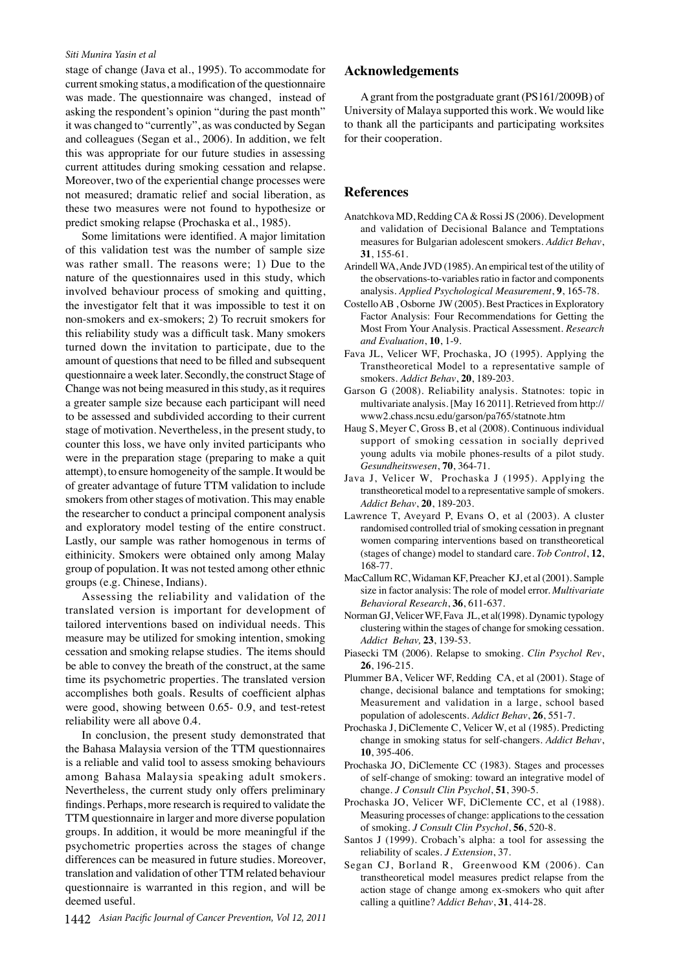#### *Siti Munira Yasin et al*

stage of change (Java et al., 1995). To accommodate for current smoking status, a modification of the questionnaire was made. The questionnaire was changed, instead of asking the respondent's opinion "during the past month" it was changed to "currently", as was conducted by Segan and colleagues (Segan et al., 2006). In addition, we felt this was appropriate for our future studies in assessing current attitudes during smoking cessation and relapse. Moreover, two of the experiential change processes were not measured; dramatic relief and social liberation, as these two measures were not found to hypothesize or predict smoking relapse (Prochaska et al., 1985).

Some limitations were identified. A major limitation of this validation test was the number of sample size was rather small. The reasons were; 1) Due to the nature of the questionnaires used in this study, which involved behaviour process of smoking and quitting, the investigator felt that it was impossible to test it on non-smokers and ex-smokers; 2) To recruit smokers for this reliability study was a difficult task. Many smokers turned down the invitation to participate, due to the amount of questions that need to be filled and subsequent questionnaire a week later. Secondly, the construct Stage of Change was not being measured in this study, as it requires a greater sample size because each participant will need to be assessed and subdivided according to their current stage of motivation. Nevertheless, in the present study, to counter this loss, we have only invited participants who were in the preparation stage (preparing to make a quit attempt), to ensure homogeneity of the sample. It would be of greater advantage of future TTM validation to include smokers from other stages of motivation. This may enable the researcher to conduct a principal component analysis and exploratory model testing of the entire construct. Lastly, our sample was rather homogenous in terms of eithinicity. Smokers were obtained only among Malay group of population. It was not tested among other ethnic groups (e.g. Chinese, Indians).

Assessing the reliability and validation of the translated version is important for development of tailored interventions based on individual needs. This measure may be utilized for smoking intention, smoking cessation and smoking relapse studies. The items should be able to convey the breath of the construct, at the same time its psychometric properties. The translated version accomplishes both goals. Results of coefficient alphas were good, showing between 0.65- 0.9, and test-retest reliability were all above 0.4.

In conclusion, the present study demonstrated that the Bahasa Malaysia version of the TTM questionnaires is a reliable and valid tool to assess smoking behaviours among Bahasa Malaysia speaking adult smokers. Nevertheless, the current study only offers preliminary findings. Perhaps, more research is required to validate the TTM questionnaire in larger and more diverse population groups. In addition, it would be more meaningful if the psychometric properties across the stages of change differences can be measured in future studies. Moreover, translation and validation of other TTM related behaviour questionnaire is warranted in this region, and will be deemed useful.

1442 *Asian Pacific Journal of Cancer Prevention, Vol 12, 2011*

### **Acknowledgements**

A grant from the postgraduate grant (PS161/2009B) of University of Malaya supported this work. We would like to thank all the participants and participating worksites for their cooperation.

#### **References**

- Anatchkova MD, Redding CA & Rossi JS (2006). Development and validation of Decisional Balance and Temptations measures for Bulgarian adolescent smokers. *Addict Behav*, **31**, 155-61.
- Arindell WA, Ande JVD (1985). An empirical test of the utility of the observations-to-variables ratio in factor and components analysis. *Applied Psychological Measurement*, **9**, 165-78.
- Costello AB , Osborne JW (2005). Best Practices in Exploratory Factor Analysis: Four Recommendations for Getting the Most From Your Analysis. Practical Assessment. *Research and Evaluation*, **10**, 1-9.
- Fava JL, Velicer WF, Prochaska, JO (1995). Applying the Transtheoretical Model to a representative sample of smokers. *Addict Behav*, **20**, 189-203.
- Garson G (2008). Reliability analysis. Statnotes: topic in multivariate analysis. [May 16 2011]. Retrieved from http:// www2.chass.ncsu.edu/garson/pa765/statnote.htm
- Haug S, Meyer C, Gross B, et al (2008). Continuous individual support of smoking cessation in socially deprived young adults via mobile phones-results of a pilot study. *Gesundheitswesen*, **70**, 364-71.
- Java J, Velicer W, Prochaska J (1995). Applying the transtheoretical model to a representative sample of smokers. *Addict Behav*, **20**, 189-203.
- Lawrence T, Aveyard P, Evans O, et al (2003). A cluster randomised controlled trial of smoking cessation in pregnant women comparing interventions based on transtheoretical (stages of change) model to standard care. *Tob Control*, **12**, 168-77.
- MacCallum RC, Widaman KF, Preacher KJ, et al (2001). Sample size in factor analysis: The role of model error. *Multivariate Behavioral Research*, **36**, 611-637.
- Norman GJ, Velicer WF, Fava JL, et al(1998). Dynamic typology clustering within the stages of change for smoking cessation. *Addict Behav,* **23**, 139-53.
- Piasecki TM (2006). Relapse to smoking. *Clin Psychol Rev*, **26**, 196-215.
- Plummer BA, Velicer WF, Redding CA, et al (2001). Stage of change, decisional balance and temptations for smoking; Measurement and validation in a large, school based population of adolescents. *Addict Behav*, **26**, 551-7.
- Prochaska J, DiClemente C, Velicer W, et al (1985). Predicting change in smoking status for self-changers. *Addict Behav*, **10**, 395-406.
- Prochaska JO, DiClemente CC (1983). Stages and processes of self-change of smoking: toward an integrative model of change. *J Consult Clin Psychol*, **51**, 390-5.
- Prochaska JO, Velicer WF, DiClemente CC, et al (1988). Measuring processes of change: applications to the cessation of smoking. *J Consult Clin Psychol*, **56**, 520-8.
- Santos J (1999). Crobach's alpha: a tool for assessing the reliability of scales. *J Extension*, 37.
- Segan CJ, Borland R, Greenwood KM (2006). Can transtheoretical model measures predict relapse from the action stage of change among ex-smokers who quit after calling a quitline? *Addict Behav*, **31**, 414-28.